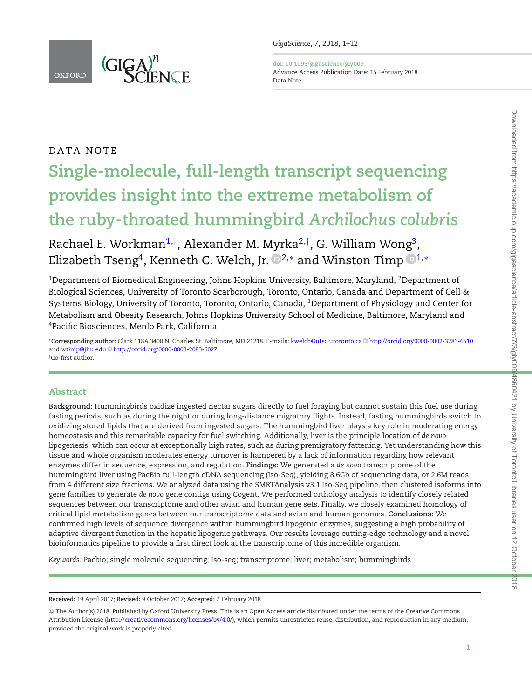

DATA NOTE

<span id="page-0-3"></span><span id="page-0-2"></span>**doi: 10.1093/gigascience/giy009** Advance Access Publication Date: 15 February 2018 Data Note

# **Single-molecule, full-length transcript sequencing provides insight into the extreme metabolism of the ruby-throated hummingbird** *Archilochus colubris*

Rachael E. Workman<sup>1,[†](#page-0-1)</sup>, Alexander M. Myrka<sup>2,†</sup>, G. William Wong<sup>3</sup>, Elizabeth Tseng<sup>4</sup>, Kenneth C. Welch, Jr.  $\mathbb{D}^{2,*}$  $\mathbb{D}^{2,*}$  $\mathbb{D}^{2,*}$  and Winston Timp  $\mathbb{D}^{1,*}$  $\mathbb{D}^{1,*}$  $\mathbb{D}^{1,*}$ 

<span id="page-0-0"></span><sup>1</sup>Department of Biomedical Engineering, Johns Hopkins University, Baltimore, Maryland, <sup>2</sup>Department of Biological Sciences, University of Toronto Scarborough, Toronto, Ontario, Canada and Department of Cell & Systems Biology, University of Toronto, Toronto, Ontario, Canada, 3Department of Physiology and Center for Metabolism and Obesity Research, Johns Hopkins University School of Medicine, Baltimore, Maryland and 4Pacific Biosciences, Menlo Park, California

<span id="page-0-5"></span><span id="page-0-4"></span><span id="page-0-1"></span><sup>∗</sup>**Corresponding author:** Clark 118A 3400 N. Charles St. Baltimore, MD 21218. E-mails: [kwelch@utsc.utoronto.ca](mailto:kwelch@utsc.utoronto.ca) <http://orcid.org/0000-0002-3283-6510> and [wtimp@jhu.edu](mailto:wtimp@jhu.edu) <http://orcid.org/0000-0003-2083-6027> †Co-first author.

# **Abstract**

**Background:** Hummingbirds oxidize ingested nectar sugars directly to fuel foraging but cannot sustain this fuel use during fasting periods, such as during the night or during long-distance migratory flights. Instead, fasting hummingbirds switch to oxidizing stored lipids that are derived from ingested sugars. The hummingbird liver plays a key role in moderating energy homeostasis and this remarkable capacity for fuel switching. Additionally, liver is the principle location of *de novo* lipogenesis, which can occur at exceptionally high rates, such as during premigratory fattening. Yet understanding how this tissue and whole organism moderates energy turnover is hampered by a lack of information regarding how relevant enzymes differ in sequence, expression, and regulation. **Findings:** We generated a *de novo* transcriptome of the hummingbird liver using PacBio full-length cDNA sequencing (Iso-Seq), yielding 8.6Gb of sequencing data, or 2.6M reads from 4 different size fractions. We analyzed data using the SMRTAnalysis v3.1 Iso-Seq pipeline, then clustered isoforms into gene families to generate *de novo* gene contigs using Cogent. We performed orthology analysis to identify closely related sequences between our transcriptome and other avian and human gene sets. Finally, we closely examined homology of critical lipid metabolism genes between our transcriptome data and avian and human genomes. **Conclusions:** We confirmed high levels of sequence divergence within hummingbird lipogenic enzymes, suggesting a high probability of adaptive divergent function in the hepatic lipogenic pathways. Our results leverage cutting-edge technology and a novel bioinformatics pipeline to provide a first direct look at the transcriptome of this incredible organism.

*Keywords:* Pacbio; single molecule sequencing; Iso-seq; transcriptome; liver; metabolism; hummingbirds

**Received:** 19 April 2017; **Revised:** 9 October 2017; **Accepted:** 7 February 2018

<sup>C</sup> The Author(s) 2018. Published by Oxford University Press. This is an Open Access article distributed under the terms of the Creative Commons Attribution License [\(http://creativecommons.org/licenses/by/4.0/\)](http://creativecommons.org/licenses/by/4.0/), which permits unrestricted reuse, distribution, and reproduction in any medium, provided the original work is properly cited.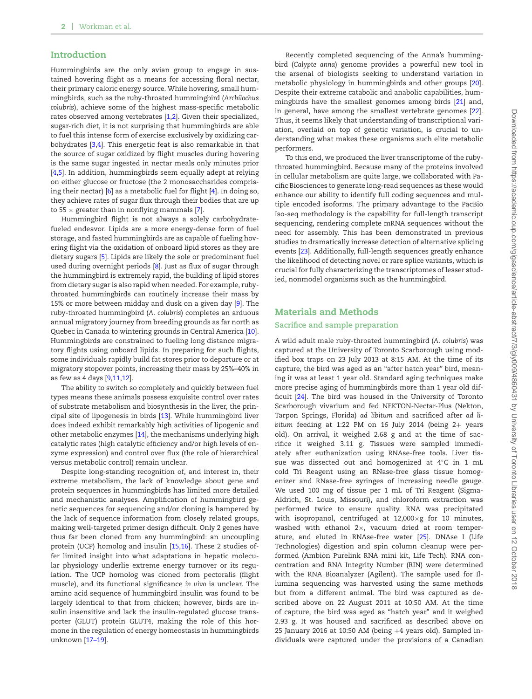# **Introduction**

Hummingbirds are the only avian group to engage in sustained hovering flight as a means for accessing floral nectar, their primary caloric energy source. While hovering, small hummingbirds, such as the ruby-throated hummingbird (*Archilochus colubris*), achieve some of the highest mass-specific metabolic rates observed among vertebrates [\[1,](#page-9-0)[2\]](#page-9-1). Given their specialized, sugar-rich diet, it is not surprising that hummingbirds are able to fuel this intense form of exercise exclusively by oxidizing carbohydrates [\[3](#page-9-2)[,4\]](#page-9-3). This energetic feat is also remarkable in that the source of sugar oxidized by flight muscles during hovering is the same sugar ingested in nectar meals only minutes prior [\[4](#page-9-3).5]. In addition, hummingbirds seem equally adept at relying on either glucose or fructose (the 2 monosaccharides comprising their nectar) [\[6\]](#page-9-5) as a metabolic fuel for flight [\[4\]](#page-9-3). In doing so, they achieve rates of sugar flux through their bodies that are up to 55  $\times$  greater than in nonflying mammals [\[7\]](#page-9-6).

Hummingbird flight is not always a solely carbohydratefueled endeavor. Lipids are a more energy-dense form of fuel storage, and fasted hummingbirds are as capable of fueling hovering flight via the oxidation of onboard lipid stores as they are dietary sugars [\[5\]](#page-9-4). Lipids are likely the sole or predominant fuel used during overnight periods [\[8\]](#page-9-7). Just as flux of sugar through the hummingbird is extremely rapid, the building of lipid stores from dietary sugar is also rapid when needed. For example, rubythroated hummingbirds can routinely increase their mass by 15% or more between midday and dusk on a given day [\[9\]](#page-9-8). The ruby-throated hummingbird (*A. colubris*) completes an arduous annual migratory journey from breeding grounds as far north as Quebec in Canada to wintering grounds in Central America [\[10\]](#page-9-9). Hummingbirds are constrained to fueling long distance migratory flights using onboard lipids. In preparing for such flights, some individuals rapidly build fat stores prior to departure or at migratory stopover points, increasing their mass by 25%–40% in as few as 4 days [\[9](#page-9-8)[,11](#page-9-10)[,12\]](#page-9-11).

The ability to switch so completely and quickly between fuel types means these animals possess exquisite control over rates of substrate metabolism and biosynthesis in the liver, the principal site of lipogenesis in birds [\[13\]](#page-9-12). While hummingbird liver does indeed exhibit remarkably high activities of lipogenic and other metabolic enzymes [\[14\]](#page-10-0), the mechanisms underlying high catalytic rates (high catalytic efficiency and/or high levels of enzyme expression) and control over flux (the role of hierarchical versus metabolic control) remain unclear.

Despite long-standing recognition of, and interest in, their extreme metabolism, the lack of knowledge about gene and protein sequences in hummingbirds has limited more detailed and mechanistic analyses. Amplification of hummingbird genetic sequences for sequencing and/or cloning is hampered by the lack of sequence information from closely related groups, making well-targeted primer design difficult. Only 2 genes have thus far been cloned from any hummingbird: an uncoupling protein (UCP) homolog and insulin [\[15,](#page-10-1)[16\]](#page-10-2). These 2 studies offer limited insight into what adaptations in hepatic molecular physiology underlie extreme energy turnover or its regulation. The UCP homolog was cloned from pectoralis (flight muscle), and its functional significance *in vivo* is unclear. The amino acid sequence of hummingbird insulin was found to be largely identical to that from chicken; however, birds are insulin insensitive and lack the insulin-regulated glucose transporter (GLUT) protein GLUT4, making the role of this hormone in the regulation of energy homeostasis in hummingbirds unknown [17–19].

Recently completed sequencing of the Anna's hummingbird (*Calypte anna*) genome provides a powerful new tool in the arsenal of biologists seeking to understand variation in metabolic physiology in hummingbirds and other groups [\[20\]](#page-10-3). Despite their extreme catabolic and anabolic capabilities, hummingbirds have the smallest genomes among birds [\[21\]](#page-10-4) and, in general, have among the smallest vertebrate genomes [\[22\]](#page-10-5). Thus, it seems likely that understanding of transcriptional variation, overlaid on top of genetic variation, is crucial to understanding what makes these organisms such elite metabolic performers.

To this end, we produced the liver transcriptome of the rubythroated hummingbird. Because many of the proteins involved in cellular metabolism are quite large, we collaborated with Pacific Biosciences to generate long-read sequences as these would enhance our ability to identify full coding sequences and multiple encoded isoforms. The primary advantage to the PacBio Iso-seq methodology is the capability for full-length transcript sequencing, rendering complete mRNA sequences without the need for assembly. This has been demonstrated in previous studies to dramatically increase detection of alternative splicing events [\[23\]](#page-10-6). Additionally, full-length sequences greatly enhance the likelihood of detecting novel or rare splice variants, which is crucial for fully characterizing the transcriptomes of lesser studied, nonmodel organisms such as the hummingbird.

# **Materials and Methods**

## **Sacrifice and sample preparation**

A wild adult male ruby-throated hummingbird (*A. colubris*) was captured at the University of Toronto Scarborough using modified box traps on 23 July 2013 at 8:15 AM. At the time of its capture, the bird was aged as an "after hatch year" bird, meaning it was at least 1 year old. Standard aging techniques make more precise aging of hummingbirds more than 1 year old difficult [\[24\]](#page-10-7). The bird was housed in the University of Toront[o](#page-2-0) Scarborough vivarium and fed NEKTON-Nectar-Plus (Nekton, Tarpon Springs, Florida) *ad libitum* and sacrificed after *ad libitum* feeding at 1:22 PM on 16 July 2014 (being 2+ years old). On arrival, it weighed 2.68 g and at the time of sacrifice it weighed 3.11 g. Tissues were sampled immediately after euthanization using RNAse-free tools. Liver tissue was dissected out and homogenized at 4◦C in 1 mL cold Tri Reagent using an RNase-free glass tissue homogenizer and RNase-free syringes of increasing needle gauge. We used 100 mg of tissue per 1 mL of Tri Reagent (Sigma-Aldrich, St. Louis, Missouri), and chloroform extraction was performed twice to ensure quality. RNA was precipitated with isopropanol, centrifuged at 12,000×g for 10 minutes, washed with ethanol  $2\times$ , vacuum dried at room temperature, and eluted in RNAse-free water [\[25\]](#page-10-8). DNAse I (Life Technologies) digestion and spin column cleanup were performed (Ambion Purelink RNA mini kit, Life Tech). RNA concentration and RNA Integrity Number (RIN) were determined with the RNA Bioanalyzer (Agilent). The sample used for Illumina sequencing was harvested using the same methods but from a different animal. The bird was captured as described above on 22 August 2011 at 10:50 AM. At the time of capture, the bird was aged as "hatch year" and it weighed 2.93 g. It was housed and sacrificed as described above on 25 January 2016 at 10:50 AM (being +4 years old). Sampled individuals were captured under the provisions of a Canadian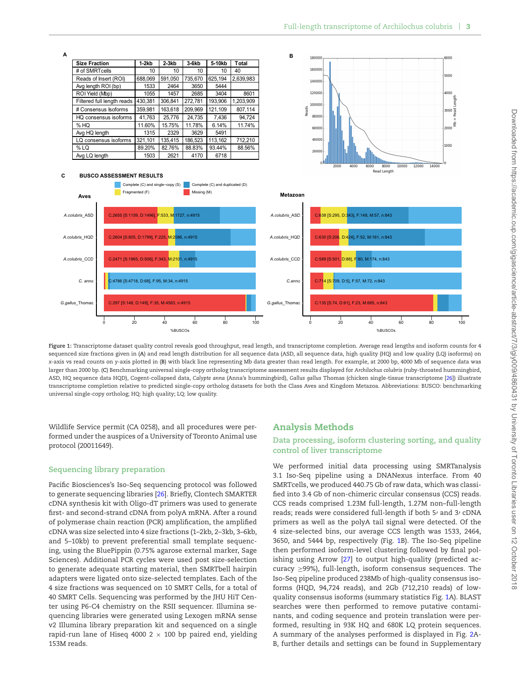<span id="page-2-0"></span>

**Figure 1:** Transcriptome dataset quality control reveals good throughput, read length, and transcriptome completion. Average read lengths and isoform counts for 4 sequenced size fractions given in (**A**) and read length distribution for all sequence data (ASD, all sequence data, high quality (HQ) and low quality (LQ) isoforms) on *x*-axis vs read counts on *y*-axis plotted in (**B**) with black line representing Mb data greater than read length. For example, at 2000 bp, 4000 Mb of sequence data was larger than 2000 bp. (**C**) Benchmarking universal single-copy ortholog transcriptome assessment results displayed for *Archilochus colubris* (ruby-throated hummingbird, ASD, HQ sequence data HQD), Cogent-collapsed data, *Calypte anna* (Anna's hummingbird), *Gallus gallus* Thomas (chicken single-tissue transcriptome [\[26\]](#page-10-9)) illustrate transcriptome completion relative to predicted single-copy ortholog datasets for both the Class Aves and Kingdom Metazoa. Abbreviations: BUSCO: benchmarking universal single-copy ortholog; HQ: high quality; LQ: low quality.

Wildlife Service permit (CA 0258), and all procedures were performed under the auspices of a University of Toronto Animal use protocol (20011649).

# **Sequencing library preparation**

Pacific Biosciences's Iso-Seq sequencing protocol was followed to generate sequencing libraries [\[26\]](#page-10-9). Briefly, Clontech SMARTER cDNA synthesis kit with Oligo-dT primers was used to generate first- and second-strand cDNA from polyA mRNA. After a round of polymerase chain reaction (PCR) amplification, the amplified cDNA was size selected into 4 size fractions (1–2kb, 2–3kb, 3–6kb, and 5–10kb) to prevent preferential small template sequencing, using the BluePippin (0.75% agarose external marker, Sage Sciences). Additional PCR cycles were used post size-selection to generate adequate starting material, then SMRTbell hairpin adapters were ligated onto size-selected templates. Each of the 4 size fractions was sequenced on 10 SMRT Cells, for a total of 40 SMRT Cells. Sequencing was performed by the JHU HiT Center using P6-C4 chemistry on the RSII sequencer. Illumina sequencing libraries were generated using Lexogen mRNA sense v2 Illumina library preparation kit and sequenced on a single rapid-run lane of Hiseq 4000 2  $\times$  100 bp paired end, yielding 153M reads.

# **Analysis Methods**

# **Data processing, isoform clustering sorting, and quality control of liver transcriptome**

We performed initial data processing using SMRTanalysis 3.1 Iso-Seq pipeline using a DNANexus interface. From 40 SMRTcells, we produced 440.75 Gb of raw data, which was classified into 3.4 Gb of non-chimeric circular consensus (CCS) reads. CCS reads comprised 1.23M full-length, 1.27M non–full-length reads; reads were considered full-length if both 5/ and 3/ cDNA primers as well as the polyA tail signal were detected. Of the 4 size-selected bins, our average CCS length was 1533, 2464, 3650, and 5444 bp, respectively (Fig. [1B](#page-2-0)). The Iso-Seq pipeline then performed isoform-level clustering followed by final polishing using Arrow [\[27\]](#page-10-10) to output high-quality (predicted accuracy ≥99%), full-length, isoform consensus sequences. The Iso-Seq pipeline produced 238Mb of high-quality consensus isoforms (HQD, 94,724 reads), and 2Gb (712,210 reads) of lowquality consensus isoforms (summary statistics Fig. [1A](#page-2-0)). BLAST searches were then performed to remove putative contaminants, and coding sequence and protein translation were performed, resulting in 93K HQ and 680K LQ protein sequences. A summary of the analyses performed is displayed in Fig. [2A](#page-3-0)-B, further details and settings can be found in Supplementary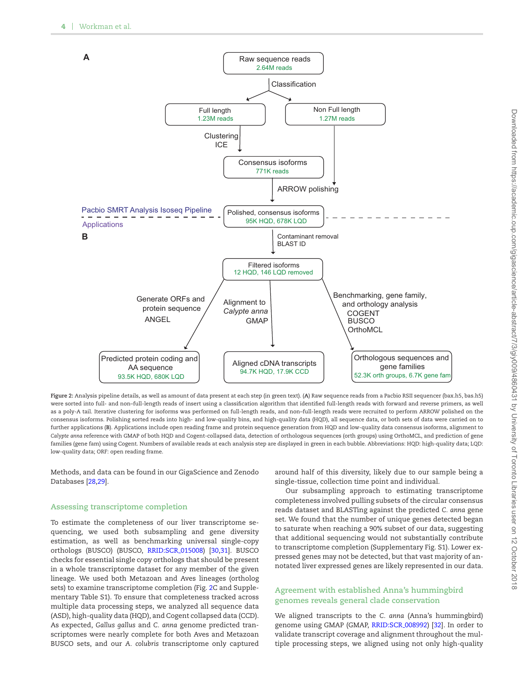<span id="page-3-0"></span>

**Figure 2:** Analysis pipeline details, as well as amount of data present at each step (in green text). (**A**) Raw sequence reads from a Pacbio RSII sequencer (bax.h5, bas.h5) were sorted into full- and non–full-length reads of insert using a classification algorithm that identified full-length reads with forward and reverse primers, as well as a poly-A tail. Iterative clustering for isoforms was performed on full-length reads, and non–full-length reads were recruited to perform ARROW polished on the consensus isoforms. Polishing sorted reads into high- and low-quality bins, and high-quality data (HQD), all sequence data, or both sets of data were carried on to further applications (**B**). Applications include open reading frame and protein sequence generation from HQD and low-quality data consensus isoforms, alignment to *Calypte anna* reference with GMAP of both HQD and Cogent-collapsed data, detection of orthologous sequences (orth groups) using OrthoMCL, and prediction of gene families (gene fam) using Cogent. Numbers of available reads at each analysis step are displayed in green in each bubble. Abbreviations: HQD: high-quality data; LQD: low-quality data; ORF: open reading frame.

Methods, and data can be found in our GigaScience and Zenodo Databases [\[28](#page-10-11)[,29\]](#page-10-12).

### **Assessing transcriptome completion**

To estimate the completeness of our liver transcriptome sequencing, we used both subsampling and gene diversity estimation, as well as benchmarking universal single-copy orthologs (BUSCO) (BUSCO, [RRID:SCR](https://scicrunch.org/resolver/RRID:SCR_015008) 015008) [\[30,](#page-10-13)[31\]](#page-10-14). BUSCO checks for essential single copy orthologs that should be present in a whole transcriptome dataset for any member of the given lineage. We used both Metazoan and Aves lineages (ortholog sets) to examine transcriptome completion (Fig. [2C](#page-3-0) and Supplementary Table S1). To ensure that completeness tracked across multiple data processing steps, we analyzed all sequence data (ASD), high-quality data (HQD), and Cogent collapsed data (CCD). As expected, *Gallus gallus* and *C. anna* genome predicted transcriptomes were nearly complete for both Aves and Metazoan BUSCO sets, and our *A. colubris* transcriptome only captured

around half of this diversity, likely due to our sample being a single-tissue, collection time point and individual.

Our subsampling approach to estimating transcriptome completeness involved pulling subsets of the circular consensus reads dataset and BLASTing against the predicted *C. anna* gene set. We found that the number of unique genes detected began to saturate when reaching a 90% subset of our data, suggesting that additional sequencing would not substantially contribute to transcriptome completion (Supplementary Fig. S1). Lower expressed genes may not be detected, but that vast majority of annotated liver expressed genes are likely represented in our data.

# **Agreement with established Anna's hummingbird genomes reveals general clade conservation**

We aligned transcripts to the *C. anna* (Anna's hummingbird) genome using GMAP (GMAP, [RRID:SCR](https://scicrunch.org/resolver/RRID:SCR_008992) 008992) [\[32\]](#page-10-15). In order to validate transcript coverage and alignment throughout the multiple processing steps, we aligned using not only high-quality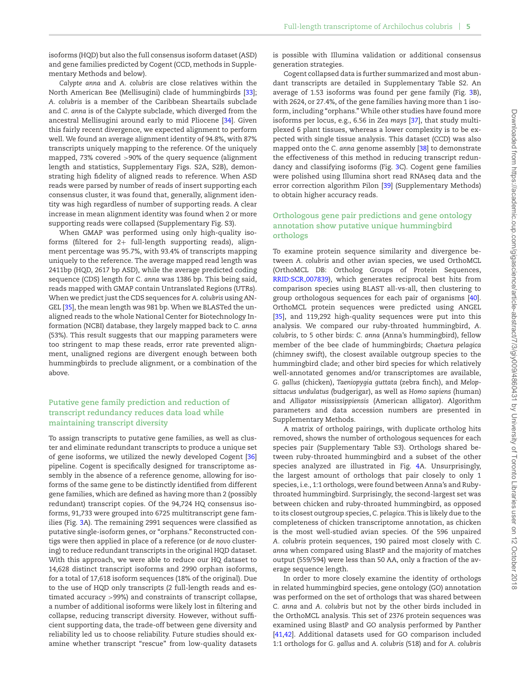isoforms (HQD) but also the full consensus isoform dataset (ASD) and gene families predicted by Cogent (CCD, methods in Supplementary Methods and below).

*Calypte anna* and *A. colubris* are close relatives within the North American Bee (Mellisugini) clade of hummingbirds [\[33\]](#page-10-16); *A. colubris* is a member of the Caribbean Sheartails subclade and *C. anna* is of the Calypte subclade, which diverged from the ancestral Mellisugini around early to mid Pliocene [\[34\]](#page-10-17). Given this fairly recent divergence, we expected alignment to perform well. We found an average alignment identity of 94.8%, with 87% transcripts uniquely mapping to the reference. Of the uniquely mapped, 73% covered >90% of the query sequence (alignment length and statistics, Supplementary Figs. S2A, S2B), demonstrating high fidelity of aligned reads to reference. When ASD reads were parsed by number of reads of insert supporting each consensus cluster, it was found that, generally, alignment identity was high regardless of number of supporting reads. A clear increase in mean alignment identity was found when 2 or more supporting reads were collapsed (Supplementary Fig. S3).

When GMAP was performed using only high-quality isoforms (filtered for 2+ full-length supporting reads), alignment percentage was 95.7%, with 93.4% of transcripts mapping uniquely to the reference. The average mapped read length was 2411bp (HQD, 2617 bp ASD), while the average predicted coding sequence (CDS) length for *C. anna* was 1386 bp. This being said, reads mapped with GMAP contain Untranslated Regions (UTRs). When we predict just the CDS sequences for *A. colubris* using AN-GEL [\[35\]](#page-10-18), the mean length was 981 bp. When we BLASTed the unaligned reads to the whole National Center for Biotechnology Information (NCBI) database, they largely mapped back to *C. anna* (53%). This result suggests that our mapping parameters were too stringent to map these reads, error rate prevented alignment, unaligned regions are divergent enough between both hummingbirds to preclude alignment, or a combination of the above.

# **Putative gene family prediction and reduction of transcript redundancy reduces data load while maintaining transcript diversity**

To assign transcripts to putative gene families, as well as cluster and eliminate redundant transcripts to produce a unique set of gene isoforms, we utilized the newly developed Cogent [\[36\]](#page-10-19) pipeline. Cogent is specifically designed for transcriptome assembly in the absence of a reference genome, allowing for isoforms of the same gene to be distinctly identified from different gene families, which are defined as having more than 2 (possibly redundant) transcript copies. Of the 94,724 HQ consensus isoforms, 91,733 were grouped into 6725 multitranscript gene families (Fig. [3A](#page-5-0)). The remaining 299[1](#page-6-0) sequences were classified as putative single-isoform genes, or "orphans." Reconstructed contigs were then applied in place of a reference (or *de novo* clustering) to reduce redundant transcripts in the original HQD dataset. With this approach, we were able to reduce our HQ dataset to 14,628 distinct transcript isoforms and 2990 orphan isoforms, for a total of 17,618 isoform sequences (18% of the original). Due to the use of HQD only transcripts (2 full-length reads and estimated accuracy >99%) and constraints of transcript collapse, a number of additional isoforms were likely lost in filtering and collapse, reducing transcript diversity. However, without sufficient supporting data, the trade-off between gene diversity and reliability led us to choose reliability. Future studies should examine whether transcript "rescue" from low-quality datasets

is possible with Illumina validation or additional consensus generation strategies.

Cogent collapsed data is further summarized and most abundant transcripts are detailed in Supplementary Table S2. An average of 1.53 isoforms was found per gene family (Fig. [3B](#page-5-0)), with 2624, or 27.4%, of the gene families having more than 1 isoform, including "orphans." While other studies have found more isoforms per locus, e.g., 6.56 in *Zea mays* [\[37\]](#page-10-20), that study multiplexed 6 plant tissues, whereas a lower complexity is to be expected with single tissue analysis. This dataset (CCD) was also mapped onto the *C. anna* genome assembly [\[38\]](#page-10-21) to demonstrate the effectiveness of this method in reducing transcript redundancy and classifying isoforms (Fig. [3C](#page-5-0)). Cogent gene families were polished using Illumina short read RNAseq data and the error correction algorithm Pilon [\[39\]](#page-10-22) (Supplementary Methods) to obtain higher accuracy reads.

# **Orthologous gene pair predictions and gene ontology annotation show putative unique hummingbird orthologs**

To examine protein sequence similarity and divergence between *A. colubris* and other avian species, we used OrthoMCL (OrthoMCL DB: Ortholog Groups of Protein Sequences, [RRID:SCR](https://scicrunch.org/resolver/RRID:SCR_007839) 007839), which generates reciprocal best hits from comparison species using BLAST all-vs-all, then clustering to group orthologous sequences for each pair of organisms [\[40\]](#page-10-23). OrthoMCL protein sequences were predicted using ANGEL [\[35\]](#page-10-18), and 119,292 high-quality sequences were put into this analysis. We compared our ruby-throated hummingbird, *A. colubris*, to 5 other birds: *C. anna* (Anna's hummingbird), fellow member of the bee clade of hummingbirds; *Chaetura pelagica* (chimney swift), the closest available outgroup species to the hummingbird clade; and other bird species for which relatively well-annotated genomes and/or transcriptomes are available, *G. gallus* (chicken), *Taeniopygia guttata* (zebra finch), and *Melopsittacus undulatus* (budgerigar), as well as *Homo sapiens* (human) and *Alligator mississippiensis* (American alligator). Algorithm parameters and data accession numbers are presented in Supplementary Methods.

A matrix of ortholog pairings, with duplicate ortholog hits removed, shows the number of orthologous sequences for each species pair (Supplementary Table S3). Orthologs shared between ruby-throated hummingbird and a subset of the other species analyzed are illustrated in Fig. [4A](#page-6-0). Unsurprisingly, the largest amount of orthologs that pair closely to only 1 species, i.e., 1:1 orthologs, were found between Anna's and Rubythroated hummingbird. Surprisingly, the second-largest set was between chicken and ruby-throated hummingbird, as opposed to its closest outgroup species, *C. pelagica*. This is likely due to the completeness of chicken transcriptome annotation, as chicken is the most well-studied avian species. Of the 596 unpaired *A. colubris* protein sequences, 190 paired most closely with *C. anna* when compared using BlastP and the majority of matches output (559/594) were less than 50 AA, only a fraction of the average sequence length.

In order to more closely examine the identity of orthologs in related hummingbird species, gene ontology (GO) annotation was performed on the set of orthologs that was shared between *C. anna* and *A. colubris* but not by the other birds included in the OrthoMCL analysis. This set of 2376 protein sequences was examined using BlastP and GO analysis performed by Panther [\[41](#page-10-24)[,42\]](#page-10-25). Additional datasets used for GO comparison included 1:1 orthologs for *G. gallus* and *A. colubris* (518) and for *A. colubris*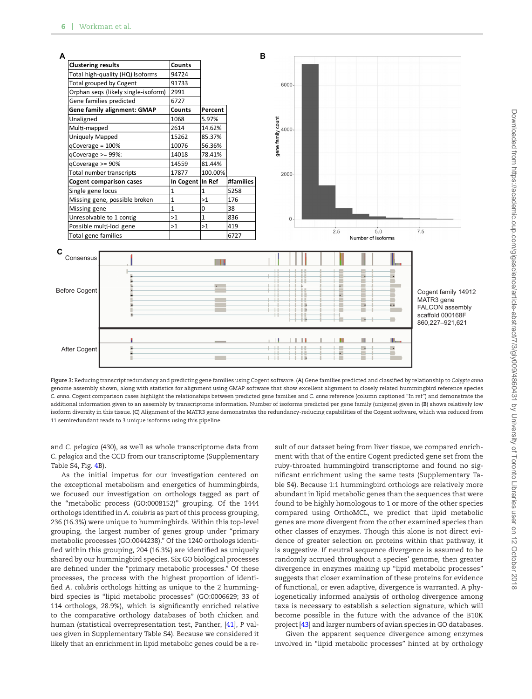<span id="page-5-0"></span>

**Figure 3:** Reducing transcript redundancy and predicting gene families using Cogent software. (**A**) Gene families predicted and classified by relationship to *Calypte anna* genome assembly shown, along with statistics for alignment using GMAP software that show excellent alignment to closely related hummingbird reference species *C. anna*. Cogent comparison cases highlight the relationships between predicted gene families and *C. anna* reference (column captioned "In ref") and demonstrate the additional information given to an assembly by transcriptome information. Number of isoforms predicted per gene family (unigene) given in (**B**) shows relatively low isoform diversity in this tissue. (**C**) Alignment of the MATR3 gene demonstrates the redundancy-reducing capabilities of the Cogent software, which was reduced from 11 semiredundant reads to 3 unique isoforms using this pipeline.

and *C. pelagica* (430), as well as whole transcriptome data from *C. pelagica* and the CCD from our transcriptome (Supplementary Table S4, Fig. [4B](#page-6-0)).

As the initial impetus for our investigation centered on the exceptional metabolism and energetics of hummingbirds, we focused our investigation on orthologs tagged as part of the "metabolic process (GO:0008152)" grouping. Of the 1444 orthologs identified in *A. colubris* as part of this process grouping, 236 (16.3%) were unique to hummingbirds. Within this top-level grouping, the largest number of genes group under "primary metabolic processes (GO:0044238)." Of the 1240 orthologs identified within this grouping, 204 (16.3%) are identified as uniquely shared by our hummingbird species. Six GO biological processes are defined under the "primary metabolic processes." Of these processes, the process with the highest proportion of identified *A. colubris* orthologs hitting as unique to the 2 hummingbird species is "lipid metabolic processes" (GO:0006629; 33 of 114 orthologs, 28.9%), which is significantly enriched relative to the comparative orthology databases of both chicken and human (statistical overrepresentation test, Panther, [\[41\]](#page-10-24), *P* values given in Supplementary Table S4). Because we considered it likely that an enrichment in lipid metabolic genes could be a result of our dataset being from liver tissue, we compared enrichment with that of the entire Cogent predicted gene set from the ruby-throated hummingbird transcriptome and found no significant enrichment using the same tests (Supplementary Table S4). Because 1:1 hummingbird orthologs are relatively more abundant in lipid metabolic genes than the sequences that were found to be highly homologous to 1 or more of the other species compared using OrthoMCL, we predict that lipid metabolic genes are more divergent from the other examined species than other classes of enzymes. Though this alone is not direct evidence of greater selection on proteins within that pathway, it is suggestive. If neutral sequence divergence is assumed to be randomly accrued throughout a species' genome, then greater divergence in enzymes making up "lipid metabolic processes" suggests that closer examination of these proteins for evidence of functional, or even adaptive, divergence is warranted. A phylogenetically informed analysis of ortholog divergence among taxa is necessary to establish a selection signature, which will become possible in the future with the advance of the B10K project [\[43\]](#page-10-26) and larger numbers of avian species in GO databases.

Given the apparent sequence divergence among enzymes involved in "lipid metabolic processes" hinted at by orthology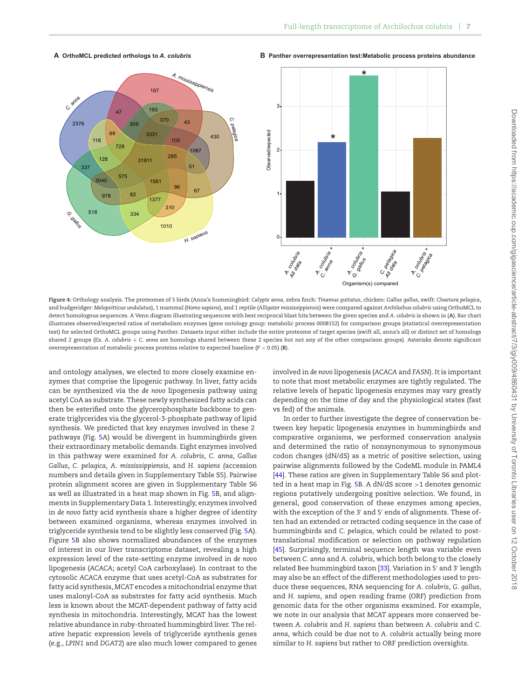

#### <span id="page-6-0"></span>**A OrthoMCL predicted orthologs to** *A. colubris* **B Panther overrepresentation test:Metabolic process proteins abundance**



**Figure 4:** Orthology analysis. The proteomes of 5 birds (Anna's hummingbird: *Calypte anna*, zebra finch: *Tinamus guttatus*, chicken: *Gallus gallus*, swift: *Chaetura pelagica*, and budgeridger: *Melopsitticus undulatus*), 1 mammal (*Homo sapiens*), and 1 reptile (*Alligator mississippiensis*) were compared against *Archilochus colubris* using OrthoMCL to detect homologous sequences. A Venn diagram illustrating sequences with best reciprocal blast hits between the given species and *A. colubris* is shown in (**A**). Bar chart illustrates observed/expected ratios of metabolism enzymes (gene ontology group: metabolic process 0008152) for comparison groups (statistical overrepresentation test) for selected OrthoMCL groups using Panther. Datasets input either include the entire proteome of target species (swift all, anna's all) or distinct set of homologs shared 2 groups (Ex. *A. colubris* + *C. anna* are homologs shared between these 2 species but not any of the other comparison groups). Asterisks denote significant overrepresentation of metabolic process proteins relative to expected baseline (*P* < 0.05) (**B**).

and ontology analyses, we elected to more closely examine enzymes that comprise the lipogenic pathway. In liver, fatty acids can be synthesized via the *de novo* lipogenesis pathway using acetyl CoA as substrate. These newly synthesized fatty acids can then be esterified onto the glycerophosphate backbone to generate triglycerides via the glycerol-3-phosphate pathway of lipid synthesis. We predicted that key enzymes involved in these 2 pathways (Fig. [5A](#page-7-0)) would be divergent in hummingbirds given their extraordinary metabolic demands. Eight enzymes involved in this pathway were examined for *A. colubris*, *C. anna*, *Gallus Gallus*, *C. pelagica, A. mississippiensis*, and *H. sapiens (*accession numbers and details given in Supplementary Table S5). Pairwise protein alignment scores are given in Supplementary Table S6 as well as illustrated in a heat map shown in Fig. [5B](#page-7-0), and alignments in Supplementary Data 1. Interestingly, enzymes involved in *de novo* fatty acid synthesis share a higher degree of identity between examined organisms, whereas enzymes involved in triglyceride synthesis tend to be slightly less conserved (Fig. [5A](#page-7-0)). Figure [5B](#page-7-0) also shows normalized abundances of the enzymes of interest in our liver transcriptome dataset, revealing a high expression level of the rate-setting enzyme involved in *de novo* lipogenesis (*ACACA*; acetyl CoA carboxylase). In contrast to the cytosolic *ACACA* enzyme that uses acetyl-CoA as substrates for fatty acid synthesis, *MCAT* encodes a mitochondrial enzyme that uses malonyl-CoA as substrates for fatty acid synthesis. Much less is known about the MCAT-dependent pathway of fatty acid synthesis in mitochondria. Interestingly, MCAT has the lowest relative abundance in ruby-throated hummingbird liver. The relative hepatic expression levels of triglyceride synthesis genes (e.g., *LPIN1* and *DGAT2*) are also much lower compared to genes involved in *de novo* lipogenesis (*ACACA* and *FASN*). It is important to note that most metabolic enzymes are tightly regulated. The relative levels of hepatic lipogenesis enzymes may vary greatly depending on the time of day and the physiological states (fast vs fed) of the animals.

In order to further investigate the degree of conservation between key hepatic lipogenesis enzymes in hummingbirds and comparative organisms, we performed conservation analysis and determined the ratio of nonsynonymous to synonymous codon changes (dN/dS) as a metric of positive selection, using pairwise alignments followed by the CodeML module in PAML4 [\[44\]](#page-10-27). These ratios are given in Supplementary Table S6 and plotted in a heat map in Fig. [5B](#page-7-0). A dN/dS score >1 denotes genomic regions putatively undergoing positive selection. We found, in general, good conservation of these enzymes among species, with the exception of the 3' and 5' ends of alignments. These often had an extended or retracted coding sequence in the case of hummingbirds and *C. pelagica*, which could be related to posttranslational modification or selection on pathway regulation [\[45\]](#page-10-28). Surprisingly, terminal sequence length was variable even between *C. anna* and *A. colubris*, which both belong to the closely related Bee hummingbird taxon [\[33\]](#page-10-16). Variation in 5' and 3' length may also be an effect of the different methodologies used to produce these sequences, RNA sequencing for *A. colubris*, *G. gallus*, and *H. sapiens*, and open reading frame (ORF) prediction from genomic data for the other organisms examined. For example, we note in our analysis that *MCAT* appears more conserved between *A. colubris* and *H. sapiens* than between *A. colubris* and *C. anna*, which could be due not to *A. colubris* actually being more similar to *H. sapiens* but rather to ORF prediction oversights.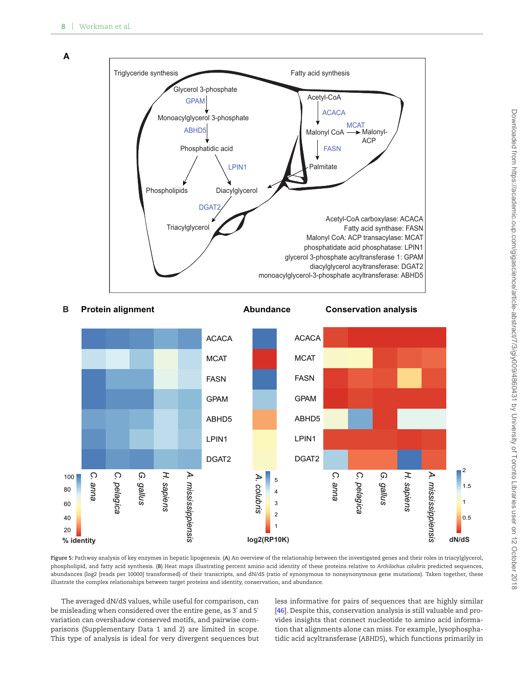<span id="page-7-0"></span>**A**



#### **B Protein alignment**

**Abundance Conservation analysis** 



**Figure 5:** Pathway analysis of key enzymes in hepatic lipogenesis. (**A**) An overview of the relationship between the investigated genes and their roles in triacylglycerol, phospholipid, and fatty acid synthesis. (**B**) Heat maps illustrating percent amino acid identity of these proteins relative to *Archilochus colubris* predicted sequences, abundances (log2 [reads per 10000] transformed) of their transcripts, and dN/dS (ratio of synonymous to nonsynonymous gene mutations). Taken together, these illustrate the complex relationships between target proteins and identity, conservation, and abundance.

The averaged dN/dS values, while useful for comparison, can be misleading when considered over the entire gene, as 3' and 5' variation can overshadow conserve[d](#page-7-0) motifs, and pairwise comparisons (Supplementary Data 1 and 2) are limited in scope. This type of analysis is ideal for very divergent sequences but less informative for pairs of sequences that are highly similar [\[46\]](#page-10-29). Despite this, conservation analysis is still valuable and provides insights that connect nucleotide to amino acid information that alignments alone can miss. For example, lysophosphatidic acid acyltransferase (*ABHD5*), which functions primarily in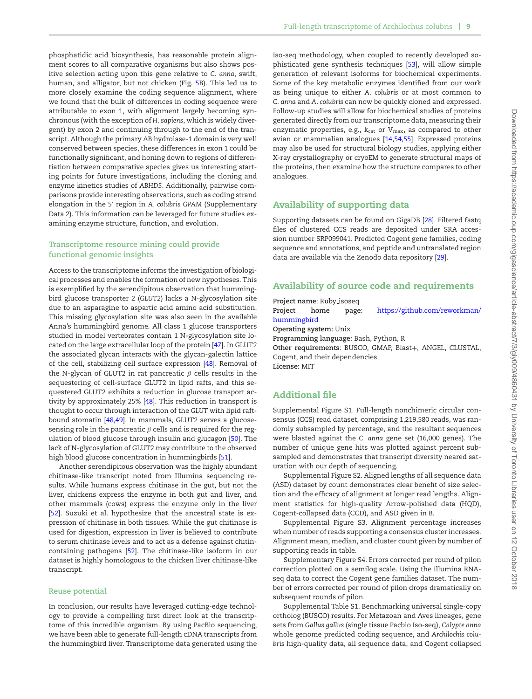phosphatidic acid biosynthesis, has reasonable protein alignment scores to all comparative organisms but also shows positive selection acting upon this gene relative to *C. anna*, swift, human, and alligator, but not chicken (Fig. [5B](#page-7-0)). This led us to more closely examine the coding sequence alignment, where we found that the bulk of differences in coding sequence were attributable to exon 1, with alignment largely becoming synchronous (with the exception of *H. sapiens*, which is widely divergent) by exon 2 and continuing through to the end of the transcript. Although the primary AB hydrolase-1 domain is very well conserved between species, these differences in exon 1 could be functionally significant, and honing down to regions of differentiation between comparative species gives us interesting starting points for future investigations, including the cloning and enzyme kinetics studies of *ABHD5*. Additionally, pairwise comparisons provide interesting observations, such as coding strand elongation in the 5' region in A. colubris GPAM (Supplementary Data 2). This information can be leveraged for future studies examining enzyme structure, function, and evolution.

# **Transcriptome resource mining could provide functional genomic insights**

Access to the transcriptome informs the investigation of biological processes and enables the formation of new hypotheses. This is exemplified by the serendipitous observation that hummingbird glucose transporter 2 (*GLUT2*) lacks a N-glycosylation site due to an asparagine to aspartic acid amino acid substitution. This missing glycosylation site was also seen in the available Anna's hummingbird genome. All class 1 glucose transporters studied in model vertebrates contain 1 N-glycosylation site located on the large extracellular loop of the protein [\[47\]](#page-10-30). In GLUT2 the associated glycan interacts with the glycan-galectin lattice of the cell, stabilizing cell surface expression [\[48\]](#page-10-31). Removal of the N-glycan of GLUT2 in rat pancreatic  $\beta$  cells results in the sequestering of cell-surface GLUT2 in lipid rafts, and this sequestered GLUT2 exhibits a reduction in glucose transport activity by approximately 25% [\[48\]](#page-10-31). This reduction in transport is thought to occur through interaction of the *GLUT* with lipid raftbound stomatin [\[48](#page-10-31)[,49\]](#page-10-32). In mammals, GLUT2 serves a glucosesensing role in the pancreatic  $\beta$  cells and is required for the regulation of blood glucose through insulin and glucagon [\[50\]](#page-10-33). The lack of N-glycosylation of GLUT2 may contribute to the observed high blood glucose concentration in hummingbirds [\[51\]](#page-10-34).

Another serendipitous observation was the highly abundant chitinase-like transcript noted from Illumina sequencing results. While humans express chitinase in the gut, but not the liver, chickens express the enzyme in both gut and liver, and other mammals (cows) express the enzyme only in the liver [\[52\]](#page-11-0). Suzuki et al. hypothesize that the ancestral state is expression of chitinase in both tissues. While the gut chitinase is used for digestion, expression in liver is believed to contribute to serum chitinase levels and to act as a defense against chitincontaining pathogens [\[52\]](#page-11-0). The chitinase-like isoform in our dataset is highly homologous to the chicken liver chitinase-like transcript.

# **Reuse potential**

In conclusion, our results have leveraged cutting-edge technology to provide a compelling first direct look at the transcriptome of this incredible organism. By using PacBio sequencing, we have been able to generate full-length cDNA transcripts from the hummingbird liver. Transcriptome data generated using the Iso-seq methodology, when coupled to recently developed sophisticated gene synthesis techniques [\[53\]](#page-11-1), will allow simple generation of relevant isoforms for biochemical experiments. Some of the key metabolic enzymes identified from our work as being unique to either *A. colubris* or at most common to *C. anna* and *A. colubris* can now be quickly cloned and expressed. Follow-up studies will allow for biochemical studies of proteins generated directly from our transcriptome data, measuring their enzymatic properties, e.g.,  $k_{cat}$  or  $V_{max}$ , as compared to other avian or mammalian analogues [\[14](#page-10-0)[,54,](#page-11-2)[55\]](#page-11-3). Expressed proteins may also be used for structural biology studies, applying either X-ray crystallography or cryoEM to generate structural maps of the proteins, then examine how the structure compares to other analogues.

# **Availability of supporting data**

Supporting datasets can be found on GigaDB [\[28\]](#page-10-11). Filtered fastq files of clustered CCS reads are deposited under SRA accession number SRP099041. Predicted Cogent gene families, coding sequence and annotations, and peptide and untranslated region data are available via the Zenodo data repository [\[29\]](#page-10-12).

# **Availability of source code and requirements**

**Project name**: Ruby isoseq

**Project home page**: [https://github.com/reworkman/](https://github.com/reworkman/hummingbird) [hummingbird](https://github.com/reworkman/hummingbird)

**Operating system:** Unix

**Programming language:** Bash, Python, R

Other requirements: BUSCO, GMAP, Blast+, ANGEL, CLUSTAL, Cogent, and their dependencies **License:** MIT

# **Additional file**

Supplemental Figure S1. Full-length nonchimeric circular consensus (CCS) read dataset, comprising 1,219,580 reads, was randomly subsampled by percentage, and the resultant sequences were blasted against the *C. anna* gene set (16,000 genes). The number of unique gene hits was plotted against percent subsampled and demonstrates that transcript diversity neared saturation with our depth of sequencing.

Supplemental Figure S2. Aligned lengths of all sequence data (ASD) dataset by count demonstrates clear benefit of size selection and the efficacy of alignment at longer read lengths. Alignment statistics for high-quality Arrow-polished data (HQD), Cogent-collapsed data (CCD), and ASD given in B.

Supplemental Figure S3. Alignment percentage increases when number of reads supporting a consensus cluster increases. Alignment mean, median, and cluster count given by number of supporting reads in table.

Supplementary Figure S4. Errors corrected per round of pilon correction plotted on a semilog scale. Using the Illumina RNAseq data to correct the Cogent gene families dataset. The number of errors corrected per round of pilon drops dramatically on subsequent rounds of pilon.

Supplemental Table S1. Benchmarking universal single-copy ortholog (BUSCO) results. For Metazoan and Aves lineages, gene sets from *Gallus gallus* (single tissue Pacbio Iso-seq), *Calypte anna* whole genome predicted coding sequence, and *Archilochis colubris* high-quality data, all sequence data, and Cogent collapsed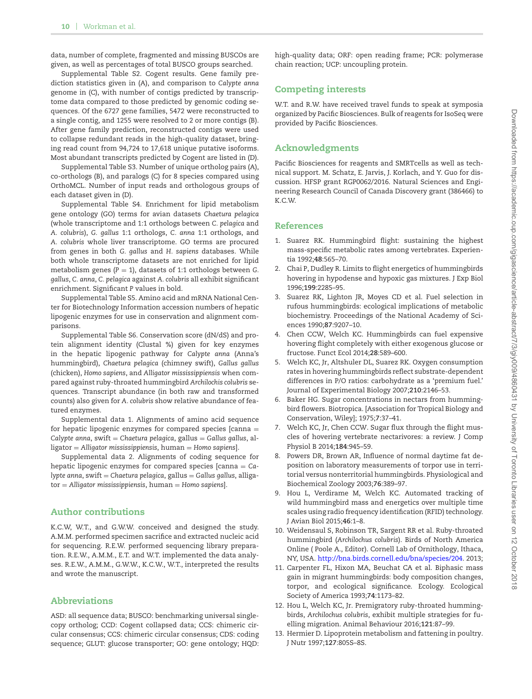data, number of complete, fragmented and missing BUSCOs are given, as well as percentages of total BUSCO groups searched.

Supplemental Table S2. Cogent results. Gene family prediction statistics given in (A), and comparison to *Calypte anna* genome in (C), with number of contigs predicted by transcriptome data compared to those predicted by genomic coding sequences. Of the 6727 gene families, 5472 were reconstructed to a single contig, and 1255 were resolved to 2 or more contigs (B). After gene family prediction, reconstructed contigs were used to collapse redundant reads in the high-quality dataset, bringing read count from 94,724 to 17,618 unique putative isoforms. Most abundant transcripts predicted by Cogent are listed in (D).

Supplemental Table S3. Number of unique ortholog pairs (A), co-orthologs (B), and paralogs (C) for 8 species compared using OrthoMCL. Number of input reads and orthologous groups of each dataset given in (D).

Supplemental Table S4. Enrichment for lipid metabolism gene ontology (GO) terms for avian datasets *Chaetura pelagica* (whole transcriptome and 1:1 orthologs between *C. pelagica* and *A. colubris*), *G. gallus* 1:1 orthologs, *C. anna* 1:1 orthologs, and *A. colubris* whole liver transcriptome. GO terms are procured from genes in both *G. gallus* and *H. sapiens* databases. While both whole transcriptome datasets are not enriched for lipid metabolism genes  $(P = 1)$ , datasets of 1:1 orthologs between *G*. *gallus*, *C. anna*, *C. pelagica* against *A. colubris* all exhibit significant enrichment. Significant *P* values in bold.

Supplemental Table S5. Amino acid and mRNA National Center for Biotechnology Information accession numbers of hepatic lipogenic enzymes for use in conservation and alignment comparisons.

Supplemental Table S6. Conservation score (dN/dS) and protein alignment identity (Clustal %) given for key enzymes in the hepatic lipogenic pathway for *Calypte anna* (Anna's hummingbird), *Chaetura pelagica* (chimney swift), *Gallus gallus* (chicken), *Homo sapiens*, and *Alligator mississippiensis* when compared against ruby-throated hummingbird *Archilochis colubris* sequences. Transcript abundance (in both raw and transformed counts) also given for *A. colubris* show relative abundance of featured enzymes.

Supplemental data 1. Alignments of amino acid sequence for hepatic lipogenic enzymes for compared species [canna = *Calypte anna*, swift = *Chaetura pelagica*, gallus = *Gallus gallus*, alligator = *Alligator mississippiensis*, human = *Homo sapiens*].

Supplemental data 2. Alignments of coding sequence for hepatic lipogenic enzymes for compared species [canna = *Calypte anna*, swift = *Chaetura pelagica*, gallus = *Gallus gallus*, alligator = *Alligator mississippiensis*, human = *Homo sapiens*].

# **Author contributions**

K.C.W, W.T., and G.W.W. conceived and designed the study. A.M.M. performed specimen sacrifice and extracted nucleic acid for sequencing. R.E.W. performed sequencing library preparation. R.E.W., A.M.M., E.T. and W.T. implemented the data analyses. R.E.W., A.M.M., G.W.W., K.C.W., W.T., interpreted the results and wrote the manuscript.

# **Abbreviations**

ASD: all sequence data; BUSCO: benchmarking universal singlecopy ortholog; CCD: Cogent collapsed data; CCS: chimeric circular consensus; CCS: chimeric circular consensus; CDS: coding sequence; GLUT: glucose transporter; GO: gene ontology; HQD:

high-quality data; ORF: open reading frame; PCR: polymerase chain reaction; UCP: uncoupling protein.

# **Competing interests**

W.T. and R.W. have received travel funds to speak at symposia organized by Pacific Biosciences. Bulk of reagents for IsoSeq were provided by Pacific Biosciences.

# **Acknowledgments**

Pacific Biosciences for reagents and SMRTcells as well as technical support. M. Schatz, E. Jarvis, J. Korlach, and Y. Guo for discussion. HFSP grant RGP0062/2016. Natural Sciences and Engineering Research Council of Canada Discovery grant (386466) to K.C.W.

# **References**

- <span id="page-9-0"></span>1. Suarez RK. Hummingbird flight: sustaining the highest mass-specific metabolic rates among vertebrates. Experientia 1992;**48**:565–70.
- <span id="page-9-1"></span>2. Chai P, Dudley R. Limits to flight energetics of hummingbirds hovering in hypodense and hypoxic gas mixtures. J Exp Biol 1996;**199**:2285–95.
- <span id="page-9-2"></span>3. Suarez RK, Lighton JR, Moyes CD et al. Fuel selection in rufous hummingbirds: ecological implications of metabolic biochemistry. Proceedings of the National Academy of Sciences 1990;**87**:9207–10.
- <span id="page-9-3"></span>4. Chen CCW, Welch KC. Hummingbirds can fuel expensive hovering flight completely with either exogenous glucose or fructose. Funct Ecol 2014;**28**:589–600.
- <span id="page-9-4"></span>5. Welch KC, Jr, Altshuler DL, Suarez RK. Oxygen consumption rates in hovering hummingbirds reflect substrate-dependent differences in P/O ratios: carbohydrate as a 'premium fuel.' Journal of Experimental Biology 2007;**210**:2146–53.
- <span id="page-9-5"></span>6. Baker HG. Sugar concentrations in nectars from hummingbird flowers. Biotropica. [Association for Tropical Biology and Conservation, Wiley]; 1975;**7**:37–41.
- <span id="page-9-6"></span>7. Welch KC, Jr, Chen CCW. Sugar flux through the flight muscles of hovering vertebrate nectarivores: a review. J Comp Physiol B 2014;**184**:945–59.
- <span id="page-9-7"></span>8. Powers DR, Brown AR, Influence of normal daytime fat deposition on laboratory measurements of torpor use in territorial versus nonterritorial hummingbirds. Physiological and Biochemical Zoology 2003;**76**:389–97.
- <span id="page-9-8"></span>9. Hou L, Verdirame M, Welch KC. Automated tracking of wild hummingbird mass and energetics over multiple time scales using radio frequency identification (RFID) technology. J Avian Biol 2015;**46**:1–8.
- <span id="page-9-9"></span>10. Weidensaul S, Robinson TR, Sargent RR et al. Ruby-throated hummingbird (*Archilochus colubris*). Birds of North America Online ( Poole A., Editor). Cornell Lab of Ornithology, Ithaca, NY, USA. [http://bna.birds.cornell.edu/bna/species/204.](http://bna.birds.cornell.edu/bna/species/204) 2013;
- <span id="page-9-10"></span>11. Carpenter FL, Hixon MA, Beuchat CA et al. Biphasic mass gain in migrant hummingbirds: body composition changes, torpor, and ecological significance. Ecology. Ecological Society of America 1993;**74**:1173–82.
- <span id="page-9-11"></span>12. Hou L, Welch KC, Jr. Premigratory ruby-throated hummingbirds, *Archilochus colubris*, exhibit multiple strategies for fuelling migration. Animal Behaviour 2016;**121**:87–99.
- <span id="page-9-12"></span>13. Hermier D. Lipoprotein metabolism and fattening in poultry. J Nutr 1997;**127**:805S–8S.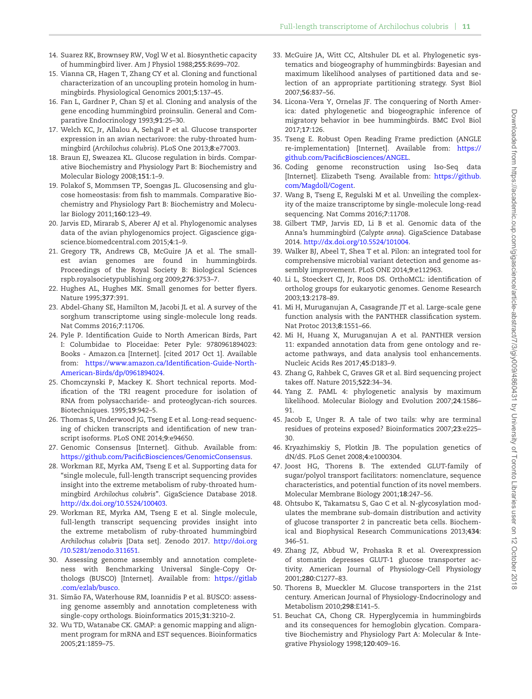- <span id="page-10-0"></span>14. Suarez RK, Brownsey RW, Vogl W et al. Biosynthetic capacity of hummingbird liver. Am J Physiol 1988;**255**:R699–702.
- <span id="page-10-1"></span>15. Vianna CR, Hagen T, Zhang CY et al. Cloning and functional characterization of an uncoupling protein homolog in hummingbirds. Physiological Genomics 2001;**5**:137–45.
- <span id="page-10-2"></span>16. Fan L, Gardner P, Chan SJ et al. Cloning and analysis of the gene encoding hummingbird proinsulin. General and Comparative Endocrinology 1993;**91**:25–30.
- 17. Welch KC, Jr, Allalou A, Sehgal P et al. Glucose transporter expression in an avian nectarivore: the ruby-throated hummingbird (*Archilochus colubris)*. PLoS One 2013;**8**:e77003.
- 18. Braun EJ, Sweazea KL. Glucose regulation in birds. Comparative Biochemistry and Physiology Part B: Biochemistry and Molecular Biology 2008;**151**:1–9.
- 19. Polakof S, Mommsen TP, Soengas JL. Glucosensing and glucose homeostasis: from fish to mammals. Comparative Biochemistry and Physiology Part B: Biochemistry and Molecular Biology 2011;**160**:123–49.
- <span id="page-10-3"></span>20. Jarvis ED, Mirarab S, Aberer AJ et al. Phylogenomic analyses data of the avian phylogenomics project. Gigascience gigascience.biomedcentral.com 2015;**4**:1–9.
- <span id="page-10-4"></span>21. Gregory TR, Andrews CB, McGuire JA et al. The smallest avian genomes are found in hummingbirds. Proceedings of the Royal Society B: Biological Sciences rspb.royalsocietypublishing.org 2009;**276**:3753–7.
- <span id="page-10-5"></span>22. Hughes AL, Hughes MK. Small genomes for better flyers. Nature 1995;**377**:391.
- <span id="page-10-6"></span>23. Abdel-Ghany SE, Hamilton M, Jacobi JL et al. A survey of the sorghum transcriptome using single-molecule long reads. Nat Comms 2016;**7**:11706.
- <span id="page-10-7"></span>24. Pyle P. Identification Guide to North American Birds, Part I: Columbidae to Ploceidae: Peter Pyle: 9780961894023: Books - Amazon.ca [Internet]. [cited 2017 Oct 1]. Available from: [https://www.amazon.ca/Identification-Guide-North-](https://www.amazon.ca/Identification-Guide-North-American-Birds/dp/0961894024)[American-Birds/dp/0961894024.](https://www.amazon.ca/Identification-Guide-North-American-Birds/dp/0961894024)
- <span id="page-10-8"></span>25. Chomczynski P, Mackey K. Short technical reports. Modification of the TRI reagent procedure for isolation of RNA from polysaccharide- and proteoglycan-rich sources. Biotechniques. 1995;**19**:942–5.
- <span id="page-10-9"></span>26. Thomas S, Underwood JG, Tseng E et al. Long-read sequencing of chicken transcripts and identification of new transcript isoforms. PLoS ONE 2014;**9**:e94650.
- <span id="page-10-10"></span>27. Genomic Consensus [Internet]. Github. Available from: [https://github.com/PacificBiosciences/GenomicConsensus.](https://github.com/PacificBiosciences/GenomicConsensus)
- <span id="page-10-11"></span>28. Workman RE, Myrka AM, Tseng E et al. Supporting data for "single molecule, full-length transcript sequencing provides insight into the extreme metabolism of ruby-throated hummingbird *Archilochus colubris*". GigaScience Database 2018. [http://dx.doi.org/10.5524/100403.](http://dx.doi.org/10.5524/100403)
- <span id="page-10-12"></span>29. Workman RE, Myrka AM, Tseng E et al. Single molecule, full-length transcript sequencing provides insight into the extreme metabolism of ruby-throated hummingbird *Archilochus colubris* [Data set]. Zenodo 2017. [http://doi.org](http://doi.org/10.5281/zenodo.311651) [/10.5281/zenodo.311651.](http://doi.org/10.5281/zenodo.311651)
- <span id="page-10-13"></span>30. Assessing genome assembly and annotation completeness with Benchmarking Universal Single-Copy Orthologs (BUSCO) [Internet]. Available from: [https://gitlab](https://gitlab.com/ezlab/busco) [.com/ezlab/busco.](https://gitlab.com/ezlab/busco)
- <span id="page-10-14"></span>31. Simão FA, Waterhouse RM, Ioannidis P et al. BUSCO: assessing genome assembly and annotation completeness with single-copy orthologs. Bioinformatics 2015;**31**:3210–2.
- <span id="page-10-15"></span>32. Wu TD, Watanabe CK. GMAP: a genomic mapping and alignment program for mRNA and EST sequences. Bioinformatics 2005;**21**:1859–75.
- <span id="page-10-16"></span>33. McGuire JA, Witt CC, Altshuler DL et al. Phylogenetic systematics and biogeography of hummingbirds: Bayesian and maximum likelihood analyses of partitioned data and selection of an appropriate partitioning strategy. Syst Biol 2007;**56**:837–56.
- <span id="page-10-17"></span>34. Licona-Vera Y, Ornelas JF. The conquering of North America: dated phylogenetic and biogeographic inference of migratory behavior in bee hummingbirds. BMC Evol Biol 2017;**17**:126.
- <span id="page-10-18"></span>35. Tseng E. Robust Open Reading Frame prediction (ANGLE re-implementation) [Internet]. Available from: [https://](https://github.com/PacificBiosciences/ANGEL) [github.com/PacificBiosciences/ANGEL.](https://github.com/PacificBiosciences/ANGEL)
- <span id="page-10-19"></span>36. Coding genome reconstruction using Iso-Seq data [Internet]. Elizabeth Tseng. Available from: [https://github.](https://github.com/Magdoll/Cogent) [com/Magdoll/Cogent.](https://github.com/Magdoll/Cogent)
- <span id="page-10-20"></span>37. Wang B, Tseng E, Regulski M et al. Unveiling the complexity of the maize transcriptome by single-molecule long-read sequencing. Nat Comms 2016;**7**:11708.
- <span id="page-10-21"></span>38. Gilbert TMP, Jarvis ED, Li B et al. Genomic data of the Anna's hummingbird (*Calypte anna*). GigaScience Database 2014. [http://dx.doi.org/10.5524/101004.](http://dx.doi.org/10.5524/101004)
- <span id="page-10-22"></span>39. Walker BJ, Abeel T, Shea T et al. Pilon: an integrated tool for comprehensive microbial variant detection and genome assembly improvement. PLoS ONE 2014;**9**:e112963.
- <span id="page-10-23"></span>40. Li L, Stoeckert CJ, Jr, Roos DS. OrthoMCL: identification of ortholog groups for eukaryotic genomes. Genome Research 2003;**13**:2178–89.
- <span id="page-10-24"></span>41. Mi H, Muruganujan A, Casagrande JT et al. Large-scale gene function analysis with the PANTHER classification system. Nat Protoc 2013;**8**:1551–66.
- <span id="page-10-25"></span>42. Mi H, Huang X, Muruganujan A et al. PANTHER version 11: expanded annotation data from gene ontology and reactome pathways, and data analysis tool enhancements. Nucleic Acids Res 2017;**45**:D183–9.
- <span id="page-10-26"></span>43. Zhang G, Rahbek C, Graves GR et al. Bird sequencing project takes off. Nature 2015;**522**:34–34.
- <span id="page-10-27"></span>44. Yang Z. PAML 4: phylogenetic analysis by maximum likelihood. Molecular Biology and Evolution 2007;**24**:1586– 91.
- <span id="page-10-28"></span>45. Jacob E, Unger R. A tale of two tails: why are terminal residues of proteins exposed? Bioinformatics 2007;**23**:e225– 30.
- <span id="page-10-29"></span>46. Kryazhimskiy S, Plotkin JB. The population genetics of dN/dS. PLoS Genet 2008;**4**:e1000304.
- <span id="page-10-30"></span>47. Joost HG, Thorens B. The extended GLUT-family of sugar/polyol transport facilitators: nomenclature, sequence characteristics, and potential function of its novel members. Molecular Membrane Biology 2001;**18**:247–56.
- <span id="page-10-31"></span>48. Ohtsubo K, Takamatsu S, Gao C et al. N-glycosylation modulates the membrane sub-domain distribution and activity of glucose transporter 2 in pancreatic beta cells. Biochemical and Biophysical Research Communications 2013;**434**: 346–51.
- <span id="page-10-32"></span>49. Zhang JZ, Abbud W, Prohaska R et al. Overexpression of stomatin depresses GLUT-1 glucose transporter activity. American Journal of Physiology-Cell Physiology 2001;**280**:C1277–83.
- <span id="page-10-33"></span>50. Thorens B, Mueckler M. Glucose transporters in the 21st century. American Journal of Physiology-Endocrinology and Metabolism 2010;**298**:E141–5.
- <span id="page-10-34"></span>51. Beuchat CA, Chong CR. Hyperglycemia in hummingbirds and its consequences for hemoglobin glycation. Comparative Biochemistry and Physiology Part A: Molecular & Integrative Physiology 1998;**120**:409–16.